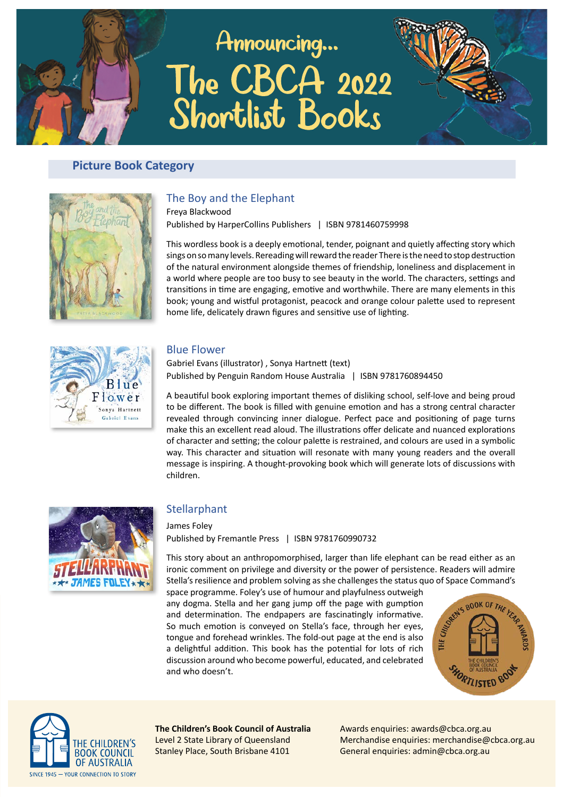# Announcing... The CBCA 2022 Shortlist Books



# **Picture Book Category**



# The Boy and the Elephant

Freya Blackwood Published by HarperCollins Publishers | ISBN 9781460759998

This wordless book is a deeply emotional, tender, poignant and quietly affecting story which sings on so many levels. Rereading will reward the reader There is the need to stop destruction of the natural environment alongside themes of friendship, loneliness and displacement in a world where people are too busy to see beauty in the world. The characters, settings and transitions in time are engaging, emotive and worthwhile. There are many elements in this book; young and wistful protagonist, peacock and orange colour palette used to represent home life, delicately drawn figures and sensitive use of lighting.



#### Blue Flower

Gabriel Evans (illustrator), Sonya Hartnett (text) Published by Penguin Random House Australia | ISBN 9781760894450

A beautiful book exploring important themes of disliking school, self-love and being proud to be different. The book is filled with genuine emotion and has a strong central character revealed through convincing inner dialogue. Perfect pace and positioning of page turns make this an excellent read aloud. The illustrations offer delicate and nuanced explorations of character and setting; the colour palette is restrained, and colours are used in a symbolic way. This character and situation will resonate with many young readers and the overall message is inspiring. A thought-provoking book which will generate lots of discussions with children.



## Stellarphant

James Folev Published by Fremantle Press | ISBN 9781760990732

This story about an anthropomorphised, larger than life elephant can be read either as an ironic comment on privilege and diversity or the power of persistence. Readers will admire space programme. Foley's use of humour and playfulness outweigh

Stella's resilience and problem solving as she challenges the status quo of Space Command's space programme. Foley's use of humour and playfulness outweigh any dogma. Stella and her gang jump off the page with gumption an any dogma. Stella and her gang jump off the page with gumption and determination. The endpapers are fascinatingly informative. So much emotion is conveyed on Stella's face, through her eyes, tongue and forehead wrinkles. The fold-out page at the end is also a delightful addition. This book has the potential for lots of rich discussion around who become powerful, educated, and celebrated and who doesn't.





**The Children's Book Council of Australia** Level 2 State Library of Queensland Stanley Place, South Brisbane 4101

Awards enquiries: awards@cbca.org.au Merchandise enquiries: merchandise@cbca.org.au General enquiries: admin@cbca.org.au